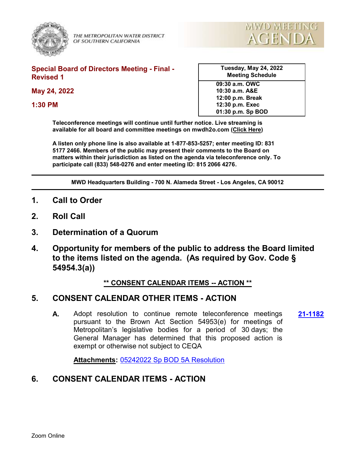

THE METROPOLITAN WATER DISTRICT OF SOUTHERN CALIFORNIA



#### **Special Board of Directors Meeting - Final - Revised 1**

**May 24, 2022**

**1:30 PM**

| <b>Meeting Schedule</b> |  |
|-------------------------|--|
| 09:30 a.m. OWC          |  |
| 10:30 a.m. A&E          |  |
| 12:00 p.m. Break        |  |
| 12:30 p.m. Exec         |  |

**01:30 p.m. Sp BOD**

**Tuesday, May 24, 2022**

**Teleconference meetings will continue until further notice. Live streaming is available for all board and committee meetings on mwdh2o.com [\(Click Here](https://mwdh2o.legistar.com/Calendar.aspx))** 

**A listen only phone line is also available at 1-877-853-5257; enter meeting ID: 831 5177 2466. Members of the public may present their comments to the Board on matters within their jurisdiction as listed on the agenda via teleconference only. To participate call (833) 548-0276 and enter meeting ID: 815 2066 4276.**

**MWD Headquarters Building - 700 N. Alameda Street - Los Angeles, CA 90012**

- **1. Call to Order**
- **2. Roll Call**
- **3. Determination of a Quorum**
- **4. Opportunity for members of the public to address the Board limited to the items listed on the agenda. (As required by Gov. Code § 54954.3(a))**

### **\*\* CONSENT CALENDAR ITEMS -- ACTION \*\***

## **5. CONSENT CALENDAR OTHER ITEMS - ACTION**

**A.** Adopt resolution to continue remote teleconference meetings **[21-1182](http://mwdh2o.legistar.com/gateway.aspx?m=l&id=/matter.aspx?key=2274)** pursuant to the Brown Act Section 54953(e) for meetings of Metropolitan's legislative bodies for a period of 30 days; the General Manager has determined that this proposed action is exempt or otherwise not subject to CEQA

**Attachments:** [05242022 Sp BOD 5A Resolution](http://mwdh2o.legistar.com/gateway.aspx?M=F&ID=788af6f1-4489-4bb3-a15d-404006619d26.pdf)

## **6. CONSENT CALENDAR ITEMS - ACTION**